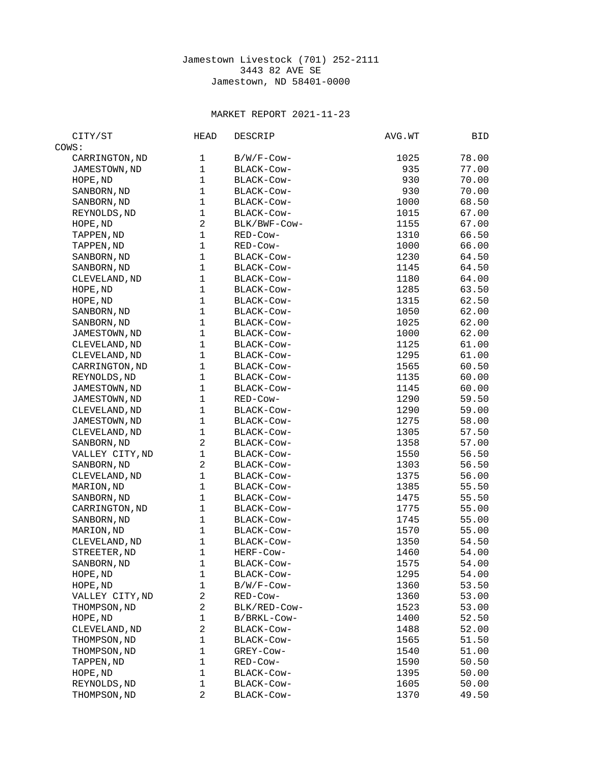## Jamestown Livestock (701) 252-2111 3443 82 AVE SE Jamestown, ND 58401-0000

## MARKET REPORT 2021-11-23

| CITY/ST                 | <b>HEAD</b>    | <b>DESCRIP</b> | AVG.WT | BID            |
|-------------------------|----------------|----------------|--------|----------------|
| COWS:                   |                |                |        |                |
| CARRINGTON, ND          | 1              | B/W/F-Cow-     | 1025   | 78.00          |
| JAMESTOWN, ND           | $\mathbf 1$    | BLACK-COW-     | 935    | 77.00          |
| HOPE, ND                | $\mathbf{1}$   | BLACK-COW-     | 930    | 70.00          |
| SANBORN, ND             | $\mathbf{1}$   | BLACK-Cow-     | 930    | 70.00          |
| SANBORN, ND             | $\mathbf{1}$   | BLACK-COW-     | 1000   | 68.50          |
| REYNOLDS, ND            | $\mathbf{1}$   | BLACK-COW-     | 1015   | 67.00          |
| HOPE, ND                | $\overline{c}$ | BLK/BWF-COW-   | 1155   | 67.00          |
| TAPPEN, ND              | $\mathbf{1}$   | RED-Cow-       | 1310   | 66.50          |
| TAPPEN, ND              | $\mathbf 1$    | RED-Cow-       | 1000   | 66.00          |
| SANBORN, ND             | $\mathbf{1}$   | BLACK-COW-     | 1230   | 64.50          |
| SANBORN, ND             | $\mathbf{1}$   | BLACK-COW-     | 1145   | 64.50          |
| CLEVELAND, ND           | 1              | BLACK-COW-     | 1180   | 64.00          |
| HOPE, ND                | $\mathbf{1}$   | BLACK-COW-     | 1285   | 63.50          |
| HOPE, ND                | $\mathbf{1}$   | BLACK-COW-     | 1315   | 62.50          |
| SANBORN, ND             | $\mathbf{1}$   | BLACK-Cow-     | 1050   | 62.00          |
| SANBORN, ND             | $\mathbf 1$    | BLACK-COW-     | 1025   | 62.00          |
| JAMESTOWN, ND           | $\mathbf 1$    | BLACK-COW-     | 1000   | 62.00          |
| CLEVELAND, ND           | $\mathbf{1}$   | BLACK-Cow-     | 1125   | 61.00          |
| CLEVELAND, ND           | 1              | BLACK-COW-     | 1295   | 61.00          |
| CARRINGTON, ND          | 1              | BLACK-COW-     | 1565   | 60.50          |
| REYNOLDS, ND            | $\mathbf{1}$   | BLACK-COW-     | 1135   | 60.00          |
| JAMESTOWN, ND           | $\mathbf{1}$   | BLACK-Cow-     | 1145   | 60.00          |
| JAMESTOWN, ND           | $\mathbf{1}$   | RED-Cow-       | 1290   | 59.50          |
| CLEVELAND, ND           | $\mathbf{1}$   | BLACK-COW-     | 1290   | 59.00          |
| JAMESTOWN, ND           | $\mathbf 1$    | BLACK-COW-     | 1275   | 58.00          |
| CLEVELAND, ND           | $\mathbf 1$    | BLACK-COW-     | 1305   | 57.50          |
| SANBORN, ND             | $\overline{c}$ | BLACK-COW-     | 1358   | 57.00          |
| VALLEY CITY, ND         | $\mathbf{1}$   | BLACK-COW-     | 1550   | 56.50          |
| SANBORN, ND             | $\overline{c}$ | BLACK-COW-     | 1303   | 56.50          |
| CLEVELAND, ND           | $\mathbf 1$    | BLACK-COW-     | 1375   | 56.00          |
| MARION, ND              | $\mathbf{1}$   | BLACK-COW-     | 1385   | 55.50          |
| SANBORN, ND             | $\mathbf{1}$   | BLACK-Cow-     | 1475   | 55.50          |
| CARRINGTON, ND          | $\mathbf{1}$   | BLACK-COW-     | 1775   | 55.00          |
| SANBORN, ND             | $\mathbf{1}$   | BLACK-COW-     | 1745   | 55.00          |
| MARION, ND              | $\mathbf{1}$   | BLACK-Cow-     | 1570   | 55.00          |
| CLEVELAND, ND           | 1              | BLACK-COW-     | 1350   | 54.50          |
| STREETER, ND            | $\mathbf{1}$   | HERF-Cow-      | 1460   | 54.00          |
|                         | $\mathbf{1}$   | BLACK-COW-     | 1575   | 54.00          |
| SANBORN, ND<br>HOPE, ND | 1              | BLACK-Cow-     | 1295   | 54.00          |
| HOPE, ND                | $\mathbf 1$    | B/W/F-Cow-     | 1360   | 53.50          |
| VALLEY CITY, ND         | $\overline{c}$ | RED-Cow-       | 1360   | 53.00          |
|                         | $\overline{c}$ | BLK/RED-Cow-   | 1523   |                |
| THOMPSON, ND            | 1              | B/BRKL-Cow-    |        | 53.00<br>52.50 |
| HOPE, ND                | 2              |                | 1400   |                |
| CLEVELAND, ND           | $\mathbf{1}$   | BLACK-Cow-     | 1488   | 52.00          |
| THOMPSON, ND            |                | BLACK-Cow-     | 1565   | 51.50          |
| THOMPSON, ND            | 1              | GREY-Cow-      | 1540   | 51.00          |
| TAPPEN, ND              | 1              | RED-Cow-       | 1590   | 50.50          |
| HOPE, ND                | 1              | BLACK-Cow-     | 1395   | 50.00          |
| REYNOLDS, ND            | 1              | BLACK-Cow-     | 1605   | 50.00          |
| THOMPSON, ND            | $\overline{2}$ | BLACK-Cow-     | 1370   | 49.50          |